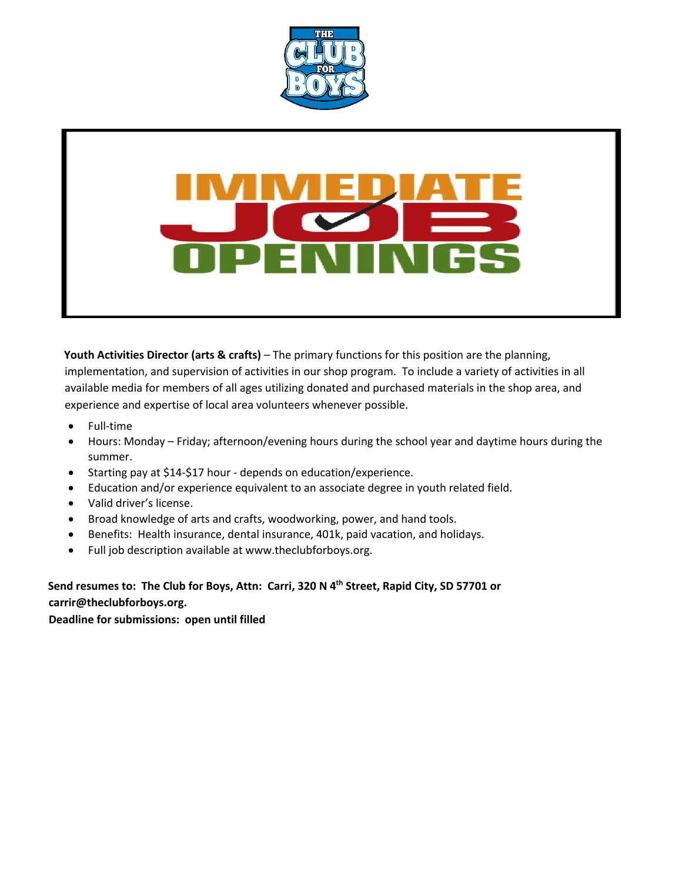

**Youth Activities Director (arts & crafts)** – The primary functions for this position are the planning, implementation, and supervision of activities in our shop program. To include a variety of activities in all available media for members of all ages utilizing donated and purchased materials in the shop area, and experience and expertise of local area volunteers whenever possible.

- Full-time
- Hours: Monday Friday; afternoon/evening hours during the school year and daytime hours during the summer.
- Starting pay at \$14-\$17 hour depends on education/experience.
- Education and/or experience equivalent to an associate degree in youth related field.
- Valid driver's license.
- Broad knowledge of arts and crafts, woodworking, power, and hand tools.
- Benefits: Health insurance, dental insurance, 401k, paid vacation, and holidays.
- Full job description available at www.theclubforboys.org.

**Send resumes to: The Club for Boys, Attn: Carri, 320 N 4th Street, Rapid City, SD 57701 or carrir@theclubforboys.org.**

**Deadline for submissions: open until filled**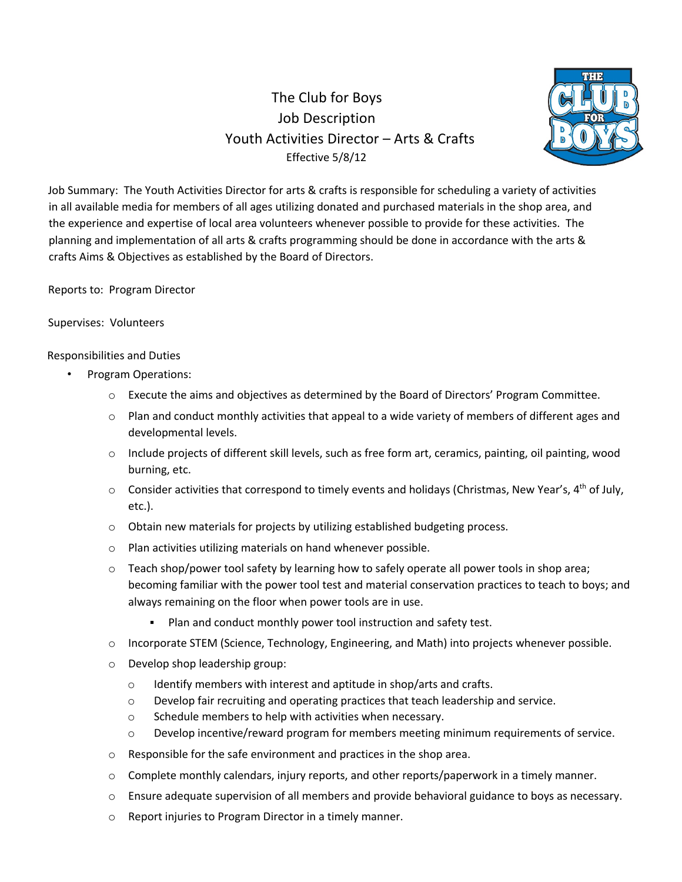# The Club for Boys Job Description Youth Activities Director – Arts & Crafts Effective 5/8/12



Job Summary: The Youth Activities Director for arts & crafts is responsible for scheduling a variety of activities in all available media for members of all ages utilizing donated and purchased materials in the shop area, and the experience and expertise of local area volunteers whenever possible to provide for these activities. The planning and implementation of all arts & crafts programming should be done in accordance with the arts & crafts Aims & Objectives as established by the Board of Directors.

Reports to: Program Director

## Supervises: Volunteers

## Responsibilities and Duties

- Program Operations:
	- o Execute the aims and objectives as determined by the Board of Directors' Program Committee.
	- o Plan and conduct monthly activities that appeal to a wide variety of members of different ages and developmental levels.
	- o Include projects of different skill levels, such as free form art, ceramics, painting, oil painting, wood burning, etc.
	- o Consider activities that correspond to timely events and holidays (Christmas, New Year's, 4<sup>th</sup> of July, etc.).
	- o Obtain new materials for projects by utilizing established budgeting process.
	- o Plan activities utilizing materials on hand whenever possible.
	- o Teach shop/power tool safety by learning how to safely operate all power tools in shop area; becoming familiar with the power tool test and material conservation practices to teach to boys; and always remaining on the floor when power tools are in use.
		- Plan and conduct monthly power tool instruction and safety test.
	- o Incorporate STEM (Science, Technology, Engineering, and Math) into projects whenever possible.
	- o Develop shop leadership group:
		- o Identify members with interest and aptitude in shop/arts and crafts.
		- o Develop fair recruiting and operating practices that teach leadership and service.
		- o Schedule members to help with activities when necessary.
		- o Develop incentive/reward program for members meeting minimum requirements of service.
	- o Responsible for the safe environment and practices in the shop area.
	- o Complete monthly calendars, injury reports, and other reports/paperwork in a timely manner.
	- o Ensure adequate supervision of all members and provide behavioral guidance to boys as necessary.
	- o Report injuries to Program Director in a timely manner.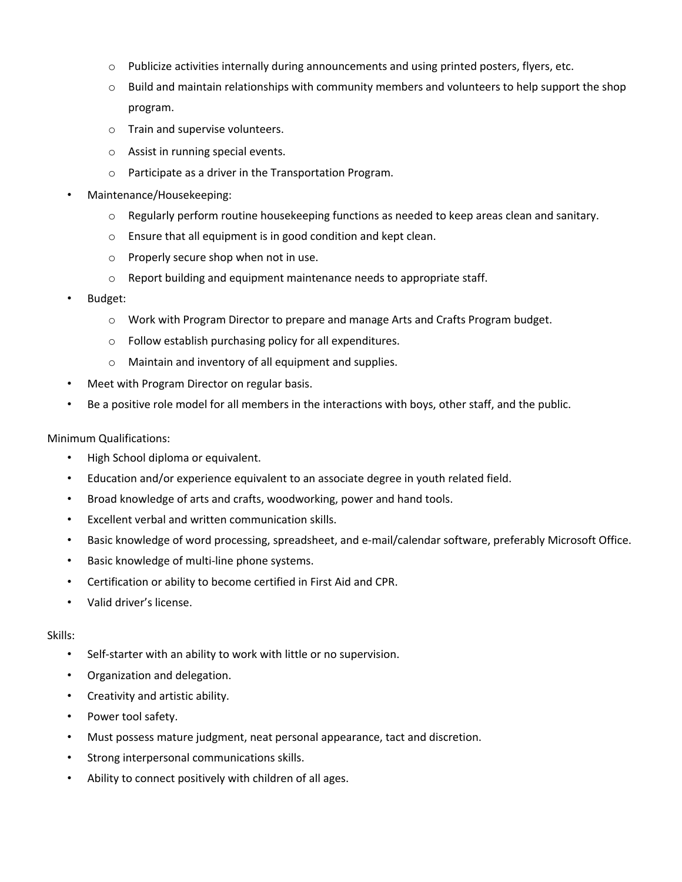- o Publicize activities internally during announcements and using printed posters, flyers, etc.
- $\circ$  Build and maintain relationships with community members and volunteers to help support the shop program.
- o Train and supervise volunteers.
- o Assist in running special events.
- o Participate as a driver in the Transportation Program.
- Maintenance/Housekeeping:
	- $\circ$  Regularly perform routine housekeeping functions as needed to keep areas clean and sanitary.
	- o Ensure that all equipment is in good condition and kept clean.
	- o Properly secure shop when not in use.
	- o Report building and equipment maintenance needs to appropriate staff.
- Budget:
	- o Work with Program Director to prepare and manage Arts and Crafts Program budget.
	- o Follow establish purchasing policy for all expenditures.
	- o Maintain and inventory of all equipment and supplies.
- Meet with Program Director on regular basis.
- Be a positive role model for all members in the interactions with boys, other staff, and the public.

#### Minimum Qualifications:

- High School diploma or equivalent.
- Education and/or experience equivalent to an associate degree in youth related field.
- Broad knowledge of arts and crafts, woodworking, power and hand tools.
- Excellent verbal and written communication skills.
- Basic knowledge of word processing, spreadsheet, and e-mail/calendar software, preferably Microsoft Office.
- Basic knowledge of multi-line phone systems.
- Certification or ability to become certified in First Aid and CPR.
- Valid driver's license.

## Skills:

- Self-starter with an ability to work with little or no supervision.
- Organization and delegation.
- Creativity and artistic ability.
- Power tool safety.
- Must possess mature judgment, neat personal appearance, tact and discretion.
- Strong interpersonal communications skills.
- Ability to connect positively with children of all ages.